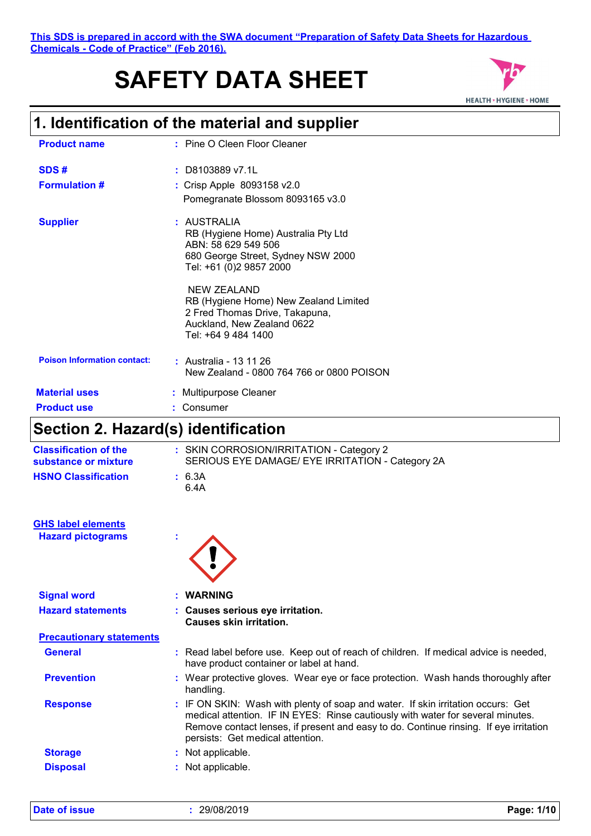**This SDS is prepared in accord with the SWA document "Preparation of Safety Data Sheets for Hazardous Chemicals - Code of Practice" (Feb 2016).**

# **SAFETY DATA SHEET**



### **1. Identification of the material and supplier**

| <b>Product name</b>                | : Pine O Cleen Floor Cleaner                                                                                                                |
|------------------------------------|---------------------------------------------------------------------------------------------------------------------------------------------|
| SDS#                               | $:$ D8103889 v7.1L                                                                                                                          |
| <b>Formulation #</b>               | : Crisp Apple 8093158 v2.0<br>Pomegranate Blossom 8093165 v3.0                                                                              |
| <b>Supplier</b>                    | : AUSTRALIA<br>RB (Hygiene Home) Australia Pty Ltd<br>ABN: 58 629 549 506<br>680 George Street, Sydney NSW 2000<br>Tel: +61 (0)2 9857 2000  |
|                                    | NEW ZEALAND<br>RB (Hygiene Home) New Zealand Limited<br>2 Fred Thomas Drive, Takapuna,<br>Auckland, New Zealand 0622<br>Tel: +64 9 484 1400 |
| <b>Poison Information contact:</b> | : Australia - 13 11 26<br>New Zealand - 0800 764 766 or 0800 POISON                                                                         |
| <b>Material uses</b>               | : Multipurpose Cleaner                                                                                                                      |
| <b>Product use</b>                 | Consumer                                                                                                                                    |

# **Section 2. Hazard(s) identification**

| <b>Classification of the</b><br>substance or mixture | : SKIN CORROSION/IRRITATION - Category 2<br>SERIOUS EYE DAMAGE/ EYE IRRITATION - Category 2A |
|------------------------------------------------------|----------------------------------------------------------------------------------------------|
| <b>HSNO Classification</b>                           | $\pm$ 6.3A<br>6.4A                                                                           |

#### **Hazard pictograms : GHS label elements**

| e |
|---|

| <b>Signal word</b>              | : WARNING                                                                                                                                                                                                                                                                                        |
|---------------------------------|--------------------------------------------------------------------------------------------------------------------------------------------------------------------------------------------------------------------------------------------------------------------------------------------------|
| <b>Hazard statements</b>        | : Causes serious eye irritation.<br>Causes skin irritation.                                                                                                                                                                                                                                      |
| <b>Precautionary statements</b> |                                                                                                                                                                                                                                                                                                  |
| <b>General</b>                  | : Read label before use. Keep out of reach of children. If medical advice is needed,<br>have product container or label at hand.                                                                                                                                                                 |
| <b>Prevention</b>               | : Wear protective gloves. Wear eye or face protection. Wash hands thoroughly after<br>handling.                                                                                                                                                                                                  |
| <b>Response</b>                 | : IF ON SKIN: Wash with plenty of soap and water. If skin irritation occurs: Get<br>medical attention. IF IN EYES: Rinse cautiously with water for several minutes.<br>Remove contact lenses, if present and easy to do. Continue rinsing. If eye irritation<br>persists: Get medical attention. |
| <b>Storage</b>                  | : Not applicable.                                                                                                                                                                                                                                                                                |
| <b>Disposal</b>                 | : Not applicable.                                                                                                                                                                                                                                                                                |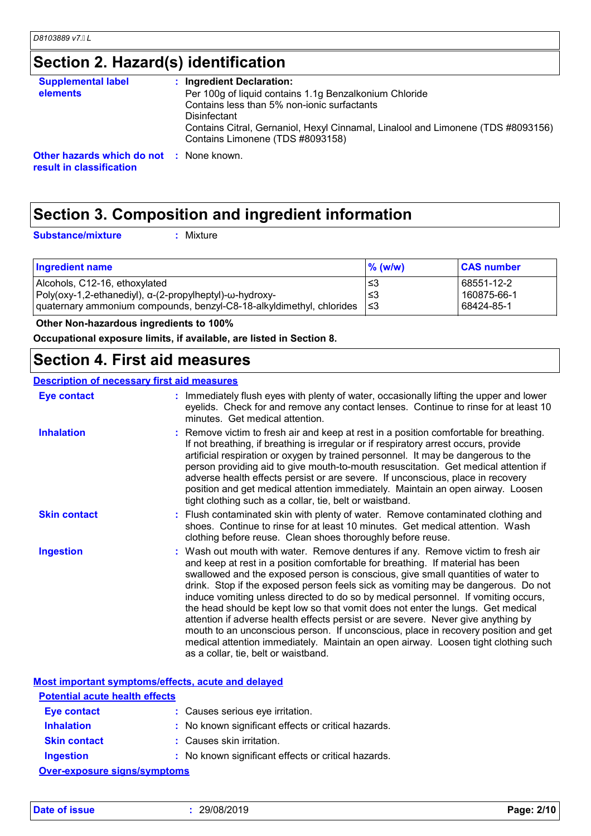# **Section 2. Hazard(s) identification**

| <b>Supplemental label</b>                                            | : Ingredient Declaration:                                                                                            |
|----------------------------------------------------------------------|----------------------------------------------------------------------------------------------------------------------|
| <b>elements</b>                                                      | Per 100g of liquid contains 1.1g Benzalkonium Chloride                                                               |
|                                                                      | Contains less than 5% non-ionic surfactants                                                                          |
|                                                                      | Disinfectant                                                                                                         |
|                                                                      | Contains Citral, Gernaniol, Hexyl Cinnamal, Linalool and Limonene (TDS #8093156)<br>Contains Limonene (TDS #8093158) |
| Other hazards which do not : None known.<br>result in classification |                                                                                                                      |

# **Section 3. Composition and ingredient information**

**Substance/mixture :**

: Mixture

| Ingredient name                                                                                                                                                               | $\%$ (w/w) | <b>CAS number</b>                       |
|-------------------------------------------------------------------------------------------------------------------------------------------------------------------------------|------------|-----------------------------------------|
| Alcohols, C12-16, ethoxylated<br> Poly(oxy-1,2-ethanediyl), α-(2-propylheptyl)-ω-hydroxy-<br>  quaternary ammonium compounds, benzyl-C8-18-alkyldimethyl, chlorides $ \leq 3$ | '≤3<br>-≤3 | 68551-12-2<br>160875-66-1<br>68424-85-1 |

 **Other Non-hazardous ingredients to 100%**

**Occupational exposure limits, if available, are listed in Section 8.**

### **Section 4. First aid measures**

#### **Description of necessary first aid measures**

| Eye contact         | : Immediately flush eyes with plenty of water, occasionally lifting the upper and lower<br>eyelids. Check for and remove any contact lenses. Continue to rinse for at least 10<br>minutes. Get medical attention.                                                                                                                                                                                                                                                                                                                                                                                                                                                                                                                                                                                                            |
|---------------------|------------------------------------------------------------------------------------------------------------------------------------------------------------------------------------------------------------------------------------------------------------------------------------------------------------------------------------------------------------------------------------------------------------------------------------------------------------------------------------------------------------------------------------------------------------------------------------------------------------------------------------------------------------------------------------------------------------------------------------------------------------------------------------------------------------------------------|
| <b>Inhalation</b>   | : Remove victim to fresh air and keep at rest in a position comfortable for breathing.<br>If not breathing, if breathing is irregular or if respiratory arrest occurs, provide<br>artificial respiration or oxygen by trained personnel. It may be dangerous to the<br>person providing aid to give mouth-to-mouth resuscitation. Get medical attention if<br>adverse health effects persist or are severe. If unconscious, place in recovery<br>position and get medical attention immediately. Maintain an open airway. Loosen<br>tight clothing such as a collar, tie, belt or waistband.                                                                                                                                                                                                                                 |
| <b>Skin contact</b> | : Flush contaminated skin with plenty of water. Remove contaminated clothing and<br>shoes. Continue to rinse for at least 10 minutes. Get medical attention. Wash<br>clothing before reuse. Clean shoes thoroughly before reuse.                                                                                                                                                                                                                                                                                                                                                                                                                                                                                                                                                                                             |
| <b>Ingestion</b>    | : Wash out mouth with water. Remove dentures if any. Remove victim to fresh air<br>and keep at rest in a position comfortable for breathing. If material has been<br>swallowed and the exposed person is conscious, give small quantities of water to<br>drink. Stop if the exposed person feels sick as vomiting may be dangerous. Do not<br>induce vomiting unless directed to do so by medical personnel. If vomiting occurs,<br>the head should be kept low so that vomit does not enter the lungs. Get medical<br>attention if adverse health effects persist or are severe. Never give anything by<br>mouth to an unconscious person. If unconscious, place in recovery position and get<br>medical attention immediately. Maintain an open airway. Loosen tight clothing such<br>as a collar, tie, belt or waistband. |

| Most important symptoms/effects, acute and delayed |                                                     |  |
|----------------------------------------------------|-----------------------------------------------------|--|
| <b>Potential acute health effects</b>              |                                                     |  |
| <b>Eye contact</b>                                 | : Causes serious eye irritation.                    |  |
| <b>Inhalation</b>                                  | : No known significant effects or critical hazards. |  |
| <b>Skin contact</b>                                | : Causes skin irritation.                           |  |
| <b>Ingestion</b>                                   | : No known significant effects or critical hazards. |  |
| <b>Over-exposure signs/symptoms</b>                |                                                     |  |

**Date of issue :** 29/08/2019 **Page: 2/10**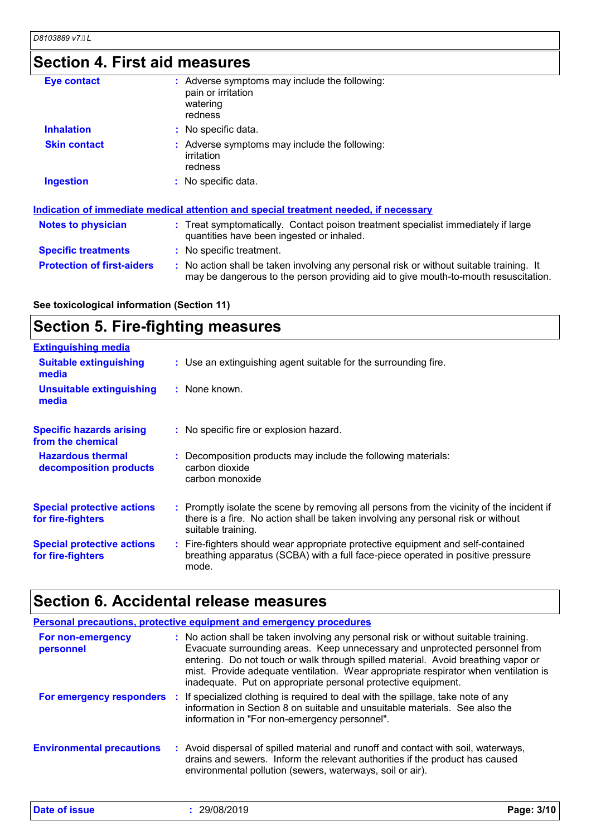# **Section 4. First aid measures**

| <b>Eye contact</b>                | : Adverse symptoms may include the following:<br>pain or irritation<br>watering<br>redness                                                                                    |
|-----------------------------------|-------------------------------------------------------------------------------------------------------------------------------------------------------------------------------|
| <b>Inhalation</b>                 | : No specific data.                                                                                                                                                           |
| <b>Skin contact</b>               | : Adverse symptoms may include the following:<br>irritation<br>redness                                                                                                        |
| <b>Ingestion</b>                  | : No specific data.                                                                                                                                                           |
|                                   | Indication of immediate medical attention and special treatment needed, if necessary                                                                                          |
| <b>Notes to physician</b>         | : Treat symptomatically. Contact poison treatment specialist immediately if large<br>quantities have been ingested or inhaled.                                                |
| <b>Specific treatments</b>        | : No specific treatment.                                                                                                                                                      |
| <b>Protection of first-aiders</b> | : No action shall be taken involving any personal risk or without suitable training. It<br>may be dangerous to the person providing aid to give mouth-to-mouth resuscitation. |

**See toxicological information (Section 11)**

# **Section 5. Fire-fighting measures**

| <b>Extinguishing media</b>                             |                                                                                                                                                                                                     |
|--------------------------------------------------------|-----------------------------------------------------------------------------------------------------------------------------------------------------------------------------------------------------|
| <b>Suitable extinguishing</b><br>media                 | : Use an extinguishing agent suitable for the surrounding fire.                                                                                                                                     |
| Unsuitable extinguishing<br>media                      | : None known.                                                                                                                                                                                       |
| <b>Specific hazards arising</b><br>from the chemical   | : No specific fire or explosion hazard.                                                                                                                                                             |
| <b>Hazardous thermal</b><br>decomposition products     | : Decomposition products may include the following materials:<br>carbon dioxide<br>carbon monoxide                                                                                                  |
| <b>Special protective actions</b><br>for fire-fighters | : Promptly isolate the scene by removing all persons from the vicinity of the incident if<br>there is a fire. No action shall be taken involving any personal risk or without<br>suitable training. |
| <b>Special protective actions</b><br>for fire-fighters | : Fire-fighters should wear appropriate protective equipment and self-contained<br>breathing apparatus (SCBA) with a full face-piece operated in positive pressure<br>mode.                         |

# **Section 6. Accidental release measures**

|                                  | <b>Personal precautions, protective equipment and emergency procedures</b>                                                                                                                                                                                                                                                                                                                                       |
|----------------------------------|------------------------------------------------------------------------------------------------------------------------------------------------------------------------------------------------------------------------------------------------------------------------------------------------------------------------------------------------------------------------------------------------------------------|
| For non-emergency<br>personnel   | : No action shall be taken involving any personal risk or without suitable training.<br>Evacuate surrounding areas. Keep unnecessary and unprotected personnel from<br>entering. Do not touch or walk through spilled material. Avoid breathing vapor or<br>mist. Provide adequate ventilation. Wear appropriate respirator when ventilation is<br>inadequate. Put on appropriate personal protective equipment. |
|                                  | For emergency responders : If specialized clothing is required to deal with the spillage, take note of any<br>information in Section 8 on suitable and unsuitable materials. See also the<br>information in "For non-emergency personnel".                                                                                                                                                                       |
| <b>Environmental precautions</b> | : Avoid dispersal of spilled material and runoff and contact with soil, waterways,<br>drains and sewers. Inform the relevant authorities if the product has caused<br>environmental pollution (sewers, waterways, soil or air).                                                                                                                                                                                  |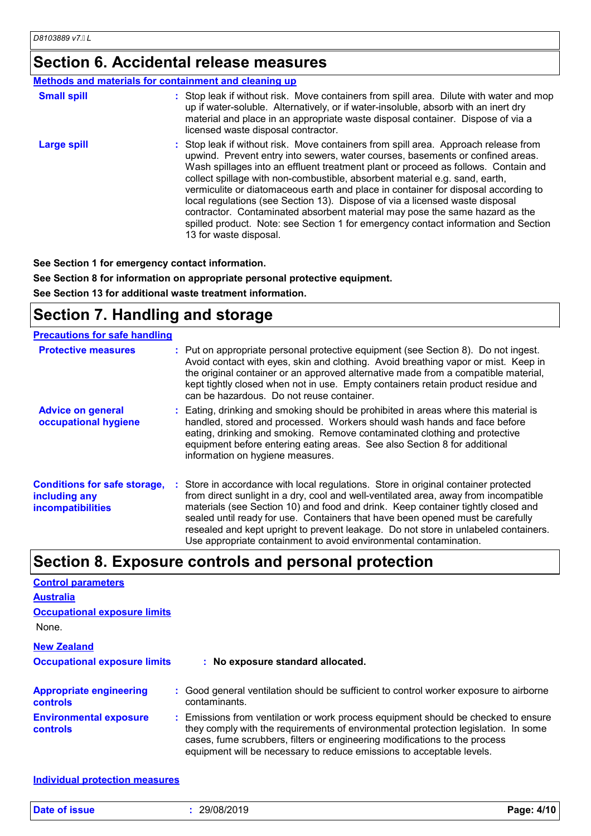# **Section 6. Accidental release measures**

#### **Methods and materials for containment and cleaning up**

| <b>Small spill</b> | : Stop leak if without risk. Move containers from spill area. Dilute with water and mop<br>up if water-soluble. Alternatively, or if water-insoluble, absorb with an inert dry<br>material and place in an appropriate waste disposal container. Dispose of via a<br>licensed waste disposal contractor.                                                                                                                                                                                                                                                                                                                                                                                                        |
|--------------------|-----------------------------------------------------------------------------------------------------------------------------------------------------------------------------------------------------------------------------------------------------------------------------------------------------------------------------------------------------------------------------------------------------------------------------------------------------------------------------------------------------------------------------------------------------------------------------------------------------------------------------------------------------------------------------------------------------------------|
| Large spill        | : Stop leak if without risk. Move containers from spill area. Approach release from<br>upwind. Prevent entry into sewers, water courses, basements or confined areas.<br>Wash spillages into an effluent treatment plant or proceed as follows. Contain and<br>collect spillage with non-combustible, absorbent material e.g. sand, earth,<br>vermiculite or diatomaceous earth and place in container for disposal according to<br>local regulations (see Section 13). Dispose of via a licensed waste disposal<br>contractor. Contaminated absorbent material may pose the same hazard as the<br>spilled product. Note: see Section 1 for emergency contact information and Section<br>13 for waste disposal. |

**See Section 1 for emergency contact information.**

**See Section 8 for information on appropriate personal protective equipment. See Section 13 for additional waste treatment information.**

# **Section 7. Handling and storage**

| <b>Precautions for safe handling</b>                                             |                                                                                                                                                                                                                                                                                                                                                                                                                                                                                                               |
|----------------------------------------------------------------------------------|---------------------------------------------------------------------------------------------------------------------------------------------------------------------------------------------------------------------------------------------------------------------------------------------------------------------------------------------------------------------------------------------------------------------------------------------------------------------------------------------------------------|
| <b>Protective measures</b>                                                       | : Put on appropriate personal protective equipment (see Section 8). Do not ingest.<br>Avoid contact with eyes, skin and clothing. Avoid breathing vapor or mist. Keep in<br>the original container or an approved alternative made from a compatible material,<br>kept tightly closed when not in use. Empty containers retain product residue and<br>can be hazardous. Do not reuse container.                                                                                                               |
| <b>Advice on general</b><br>occupational hygiene                                 | : Eating, drinking and smoking should be prohibited in areas where this material is<br>handled, stored and processed. Workers should wash hands and face before<br>eating, drinking and smoking. Remove contaminated clothing and protective<br>equipment before entering eating areas. See also Section 8 for additional<br>information on hygiene measures.                                                                                                                                                 |
| <b>Conditions for safe storage,</b><br>including any<br><b>incompatibilities</b> | : Store in accordance with local regulations. Store in original container protected<br>from direct sunlight in a dry, cool and well-ventilated area, away from incompatible<br>materials (see Section 10) and food and drink. Keep container tightly closed and<br>sealed until ready for use. Containers that have been opened must be carefully<br>resealed and kept upright to prevent leakage. Do not store in unlabeled containers.<br>Use appropriate containment to avoid environmental contamination. |

### **Section 8. Exposure controls and personal protection**

| <b>Control parameters</b>                         |                                                                                                                                                                                                                                                                                                                                 |  |  |
|---------------------------------------------------|---------------------------------------------------------------------------------------------------------------------------------------------------------------------------------------------------------------------------------------------------------------------------------------------------------------------------------|--|--|
| <b>Australia</b>                                  |                                                                                                                                                                                                                                                                                                                                 |  |  |
| <b>Occupational exposure limits</b>               |                                                                                                                                                                                                                                                                                                                                 |  |  |
| None.                                             |                                                                                                                                                                                                                                                                                                                                 |  |  |
| <b>New Zealand</b>                                |                                                                                                                                                                                                                                                                                                                                 |  |  |
| <b>Occupational exposure limits</b>               | : No exposure standard allocated.                                                                                                                                                                                                                                                                                               |  |  |
| <b>Appropriate engineering</b><br><b>controls</b> | : Good general ventilation should be sufficient to control worker exposure to airborne<br>contaminants.                                                                                                                                                                                                                         |  |  |
| <b>Environmental exposure</b><br>controls         | : Emissions from ventilation or work process equipment should be checked to ensure<br>they comply with the requirements of environmental protection legislation. In some<br>cases, fume scrubbers, filters or engineering modifications to the process<br>equipment will be necessary to reduce emissions to acceptable levels. |  |  |

**Individual protection measures**

| <b>Date of issue</b><br>29/08/2019 | Page: 4/10 |
|------------------------------------|------------|
|------------------------------------|------------|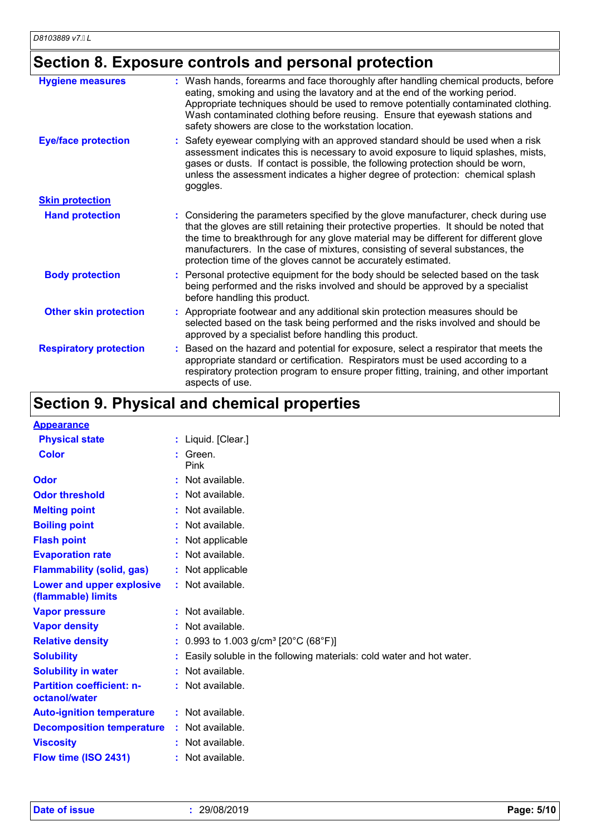# **Section 8. Exposure controls and personal protection**

| <b>Hygiene measures</b>       | : Wash hands, forearms and face thoroughly after handling chemical products, before<br>eating, smoking and using the lavatory and at the end of the working period.<br>Appropriate techniques should be used to remove potentially contaminated clothing.<br>Wash contaminated clothing before reusing. Ensure that eyewash stations and<br>safety showers are close to the workstation location.                        |
|-------------------------------|--------------------------------------------------------------------------------------------------------------------------------------------------------------------------------------------------------------------------------------------------------------------------------------------------------------------------------------------------------------------------------------------------------------------------|
| <b>Eye/face protection</b>    | Safety eyewear complying with an approved standard should be used when a risk<br>assessment indicates this is necessary to avoid exposure to liquid splashes, mists,<br>gases or dusts. If contact is possible, the following protection should be worn,<br>unless the assessment indicates a higher degree of protection: chemical splash<br>goggles.                                                                   |
| <b>Skin protection</b>        |                                                                                                                                                                                                                                                                                                                                                                                                                          |
| <b>Hand protection</b>        | : Considering the parameters specified by the glove manufacturer, check during use<br>that the gloves are still retaining their protective properties. It should be noted that<br>the time to breakthrough for any glove material may be different for different glove<br>manufacturers. In the case of mixtures, consisting of several substances, the<br>protection time of the gloves cannot be accurately estimated. |
| <b>Body protection</b>        | Personal protective equipment for the body should be selected based on the task<br>being performed and the risks involved and should be approved by a specialist<br>before handling this product.                                                                                                                                                                                                                        |
| <b>Other skin protection</b>  | Appropriate footwear and any additional skin protection measures should be<br>selected based on the task being performed and the risks involved and should be<br>approved by a specialist before handling this product.                                                                                                                                                                                                  |
| <b>Respiratory protection</b> | Based on the hazard and potential for exposure, select a respirator that meets the<br>appropriate standard or certification. Respirators must be used according to a<br>respiratory protection program to ensure proper fitting, training, and other important<br>aspects of use.                                                                                                                                        |

# **Section 9. Physical and chemical properties**

| <b>Appearance</b>                                 |                                                                      |
|---------------------------------------------------|----------------------------------------------------------------------|
| <b>Physical state</b>                             | : Liquid. [Clear.]                                                   |
| <b>Color</b>                                      | Green.<br>Pink                                                       |
| Odor                                              | $:$ Not available.                                                   |
| <b>Odor threshold</b>                             | : Not available.                                                     |
| <b>Melting point</b>                              | : Not available.                                                     |
| <b>Boiling point</b>                              | : Not available.                                                     |
| <b>Flash point</b>                                | : Not applicable                                                     |
| <b>Evaporation rate</b>                           | $:$ Not available.                                                   |
| <b>Flammability (solid, gas)</b>                  | : Not applicable                                                     |
| Lower and upper explosive<br>(flammable) limits   | : Not available.                                                     |
| <b>Vapor pressure</b>                             | $:$ Not available.                                                   |
| <b>Vapor density</b>                              | $:$ Not available.                                                   |
| <b>Relative density</b>                           | : 0.993 to 1.003 g/cm <sup>3</sup> [20°C (68°F)]                     |
| <b>Solubility</b>                                 | Easily soluble in the following materials: cold water and hot water. |
| <b>Solubility in water</b>                        | : Not available.                                                     |
| <b>Partition coefficient: n-</b><br>octanol/water | : Not available.                                                     |
| <b>Auto-ignition temperature</b>                  | : Not available.                                                     |
| <b>Decomposition temperature</b>                  | : Not available.                                                     |
| <b>Viscosity</b>                                  | : Not available.                                                     |
| Flow time (ISO 2431)                              | $:$ Not available.                                                   |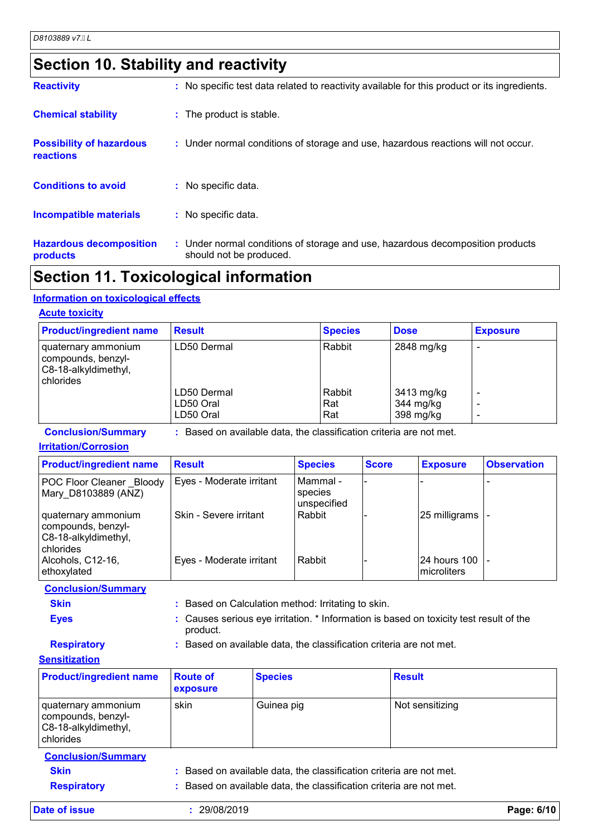## **Section 10. Stability and reactivity**

| <b>Hazardous decomposition</b><br>products   | : Under normal conditions of storage and use, hazardous decomposition products<br>should not be produced. |
|----------------------------------------------|-----------------------------------------------------------------------------------------------------------|
| <b>Incompatible materials</b>                | : No specific data.                                                                                       |
| <b>Conditions to avoid</b>                   | $:$ No specific data.                                                                                     |
| <b>Possibility of hazardous</b><br>reactions | : Under normal conditions of storage and use, hazardous reactions will not occur.                         |
| <b>Chemical stability</b>                    | : The product is stable.                                                                                  |
| <b>Reactivity</b>                            | : No specific test data related to reactivity available for this product or its ingredients.              |

### **Section 11. Toxicological information**

#### **Information on toxicological effects**

#### **Acute toxicity**

| <b>Product/ingredient name</b>                                                 | <b>Result</b>            | <b>Species</b> | <b>Dose</b>             | <b>Exposure</b> |
|--------------------------------------------------------------------------------|--------------------------|----------------|-------------------------|-----------------|
| quaternary ammonium<br>compounds, benzyl-<br>C8-18-alkyldimethyl,<br>chlorides | LD50 Dermal              | Rabbit         | 2848 mg/kg              |                 |
|                                                                                | LD50 Dermal<br>LD50 Oral | Rabbit<br>Rat  | 3413 mg/kg<br>344 mg/kg |                 |
|                                                                                | LD50 Oral                | Rat            | 398 mg/kg               |                 |

**Conclusion/Summary :** Based on available data, the classification criteria are not met.

#### **Irritation/Corrosion**

| <b>Product/ingredient name</b>                                                 | <b>Result</b>            | <b>Species</b>                       | <b>Score</b> | <b>Exposure</b>              | <b>Observation</b> |
|--------------------------------------------------------------------------------|--------------------------|--------------------------------------|--------------|------------------------------|--------------------|
| POC Floor Cleaner Bloody<br>Mary_D8103889 (ANZ)                                | Eyes - Moderate irritant | l Mammal -<br>species<br>unspecified |              |                              |                    |
| quaternary ammonium<br>compounds, benzyl-<br>C8-18-alkyldimethyl,<br>chlorides | Skin - Severe irritant   | l Rabbit                             |              | 25 milligrams                |                    |
| Alcohols, C12-16,<br>ethoxylated                                               | Eyes - Moderate irritant | Rabbit                               |              | 24 hours 100<br>Imicroliters |                    |

**Conclusion/Summary**

**Skin :** Based on Calculation method: Irritating to skin.

**Eyes :** Causes serious eye irritation. \* Information is based on toxicity test result of the product.

**Respiratory :** Based on available data, the classification criteria are not met.

#### **Sensitization**

| <b>Product/ingredient name</b>                                                 | <b>Route of</b><br><b>exposure</b> | <b>Species</b> | <b>Result</b>   |
|--------------------------------------------------------------------------------|------------------------------------|----------------|-----------------|
| quaternary ammonium<br>compounds, benzyl-<br>C8-18-alkyldimethyl,<br>chlorides | skin                               | Guinea pig     | Not sensitizing |

**Conclusion/Summary Skin :** Based on available data, the classification criteria are not met.

**Respiratory :** Based on available data, the classification criteria are not met.

**Date of issue :** 29/08/2019 **Page: 6/10**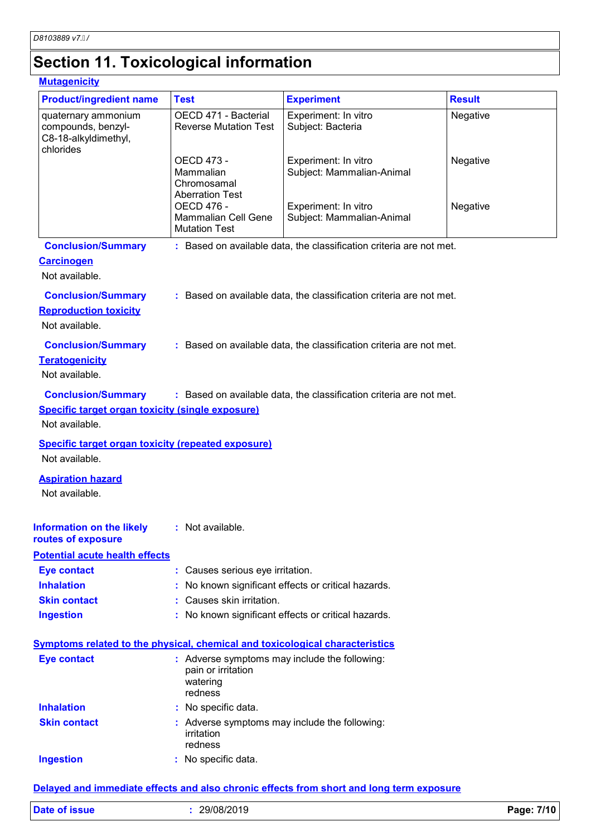# **Section 11. Toxicological information**

#### **Mutagenicity**

| <b>Product/ingredient name</b>                                                      | <b>Test</b>                                                      | <b>Experiment</b>                                                   | <b>Result</b> |
|-------------------------------------------------------------------------------------|------------------------------------------------------------------|---------------------------------------------------------------------|---------------|
| quaternary ammonium<br>compounds, benzyl-<br>C8-18-alkyldimethyl,<br>chlorides      | OECD 471 - Bacterial<br><b>Reverse Mutation Test</b>             | Experiment: In vitro<br>Subject: Bacteria                           | Negative      |
|                                                                                     | OECD 473 -<br>Mammalian<br>Chromosamal<br><b>Aberration Test</b> | Experiment: In vitro<br>Subject: Mammalian-Animal                   | Negative      |
|                                                                                     | OECD 476 -<br><b>Mammalian Cell Gene</b><br><b>Mutation Test</b> | Experiment: In vitro<br>Subject: Mammalian-Animal                   | Negative      |
| <b>Conclusion/Summary</b>                                                           |                                                                  | : Based on available data, the classification criteria are not met. |               |
| <b>Carcinogen</b><br>Not available.                                                 |                                                                  |                                                                     |               |
| <b>Conclusion/Summary</b><br><b>Reproduction toxicity</b><br>Not available.         |                                                                  | : Based on available data, the classification criteria are not met. |               |
| <b>Conclusion/Summary</b><br><b>Teratogenicity</b><br>Not available.                |                                                                  | : Based on available data, the classification criteria are not met. |               |
| <b>Conclusion/Summary</b>                                                           |                                                                  | : Based on available data, the classification criteria are not met. |               |
| <b>Specific target organ toxicity (single exposure)</b>                             |                                                                  |                                                                     |               |
| Not available.                                                                      |                                                                  |                                                                     |               |
| <b>Specific target organ toxicity (repeated exposure)</b>                           |                                                                  |                                                                     |               |
| Not available.                                                                      |                                                                  |                                                                     |               |
| <b>Aspiration hazard</b><br>Not available.                                          |                                                                  |                                                                     |               |
| <b>Information on the likely</b><br>routes of exposure                              | : Not available.                                                 |                                                                     |               |
| <b>Potential acute health effects</b>                                               |                                                                  |                                                                     |               |
| <b>Eye contact</b>                                                                  | : Causes serious eye irritation.                                 |                                                                     |               |
| <b>Inhalation</b>                                                                   |                                                                  | No known significant effects or critical hazards.                   |               |
| <b>Skin contact</b>                                                                 | Causes skin irritation.                                          |                                                                     |               |
| <b>Ingestion</b>                                                                    |                                                                  | No known significant effects or critical hazards.                   |               |
| <b>Symptoms related to the physical, chemical and toxicological characteristics</b> |                                                                  |                                                                     |               |
| <b>Eye contact</b>                                                                  | pain or irritation<br>watering<br>redness                        | : Adverse symptoms may include the following:                       |               |
| <b>Inhalation</b>                                                                   | No specific data.                                                |                                                                     |               |
| <b>Skin contact</b>                                                                 | irritation<br>redness                                            | : Adverse symptoms may include the following:                       |               |
| <b>Ingestion</b>                                                                    | No specific data.                                                |                                                                     |               |

#### **Delayed and immediate effects and also chronic effects from short and long term exposure**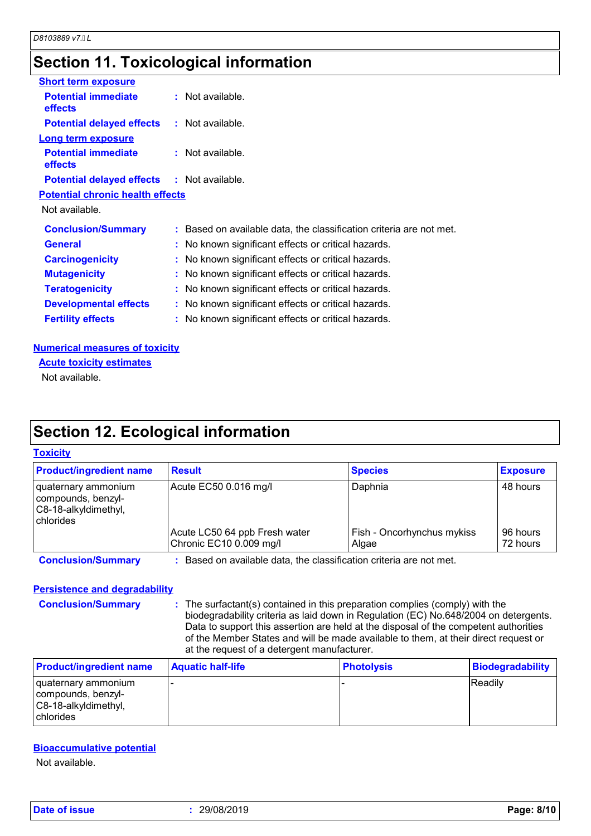# **Section 11. Toxicological information**

| <b>Short term exposure</b>                        |                                                                     |
|---------------------------------------------------|---------------------------------------------------------------------|
| <b>Potential immediate</b><br>effects             | $:$ Not available.                                                  |
| <b>Potential delayed effects : Not available.</b> |                                                                     |
| <b>Long term exposure</b>                         |                                                                     |
| <b>Potential immediate</b><br><b>effects</b>      | : Not available.                                                    |
| <b>Potential delayed effects : Not available.</b> |                                                                     |
| <b>Potential chronic health effects</b>           |                                                                     |
| Not available.                                    |                                                                     |
| <b>Conclusion/Summary</b>                         | : Based on available data, the classification criteria are not met. |
| <b>General</b>                                    | : No known significant effects or critical hazards.                 |
| <b>Carcinogenicity</b>                            | : No known significant effects or critical hazards.                 |
| <b>Mutagenicity</b>                               | : No known significant effects or critical hazards.                 |
| <b>Teratogenicity</b>                             | : No known significant effects or critical hazards.                 |
| <b>Developmental effects</b>                      | : No known significant effects or critical hazards.                 |
| <b>Fertility effects</b>                          | : No known significant effects or critical hazards.                 |
|                                                   |                                                                     |

#### **Numerical measures of toxicity**

**Acute toxicity estimates**

Not available.

# **Section 12. Ecological information**

#### **Toxicity**

| <b>Product/ingredient name</b>                                                 | <b>Result</b>                                                     | <b>Species</b>                        | <b>Exposure</b>      |
|--------------------------------------------------------------------------------|-------------------------------------------------------------------|---------------------------------------|----------------------|
| quaternary ammonium<br>compounds, benzyl-<br>C8-18-alkyldimethyl,<br>chlorides | Acute EC50 0.016 mg/l<br>Acute LC50 64 ppb Fresh water            | Daphnia<br>Fish - Oncorhynchus mykiss | 48 hours<br>96 hours |
|                                                                                | Chronic EC10 0.009 mg/l                                           | Algae                                 | 72 hours             |
| <b>Conclusion/Summary</b>                                                      | Based on available data, the classification criteria are not met. |                                       |                      |

#### **Persistence and degradability**

**Conclusion/Summary :** The surfactant(s) contained in this preparation complies (comply) with the biodegradability criteria as laid down in Regulation (EC) No.648/2004 on detergents. Data to support this assertion are held at the disposal of the competent authorities of the Member States and will be made available to them, at their direct request or at the request of a detergent manufacturer.

| <b>Product/ingredient name</b>                                                 | <b>Aquatic half-life</b> | <b>Photolysis</b> | Biodegradability |
|--------------------------------------------------------------------------------|--------------------------|-------------------|------------------|
| quaternary ammonium<br>compounds, benzyl-<br>C8-18-alkyldimethyl,<br>chlorides |                          |                   | <b>IReadily</b>  |

#### **Bioaccumulative potential**

Not available.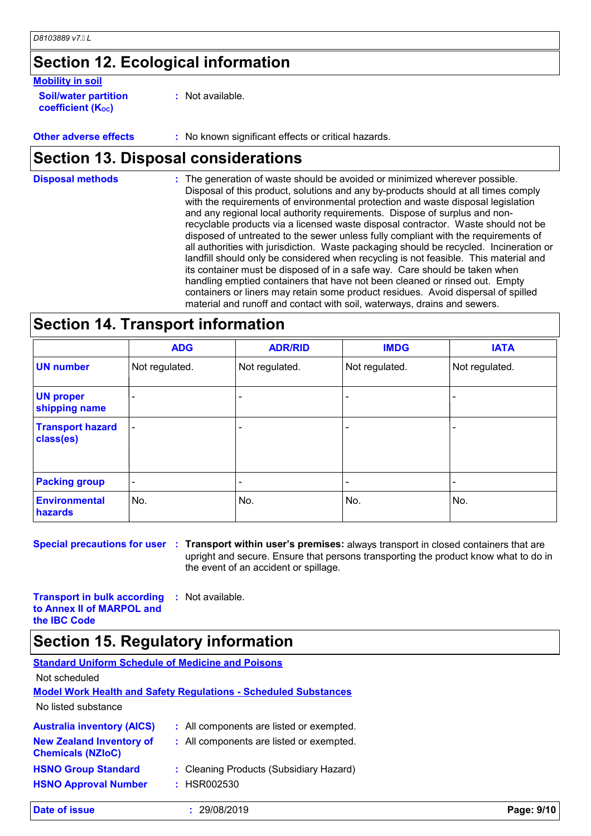# **Section 12. Ecological information**

#### **Mobility in soil**

| <b>Soil/water partition</b> |  |
|-----------------------------|--|
| <b>coefficient (Koc)</b>    |  |

**:** Not available.

**Other adverse effects :** No known significant effects or critical hazards.

### **Section 13. Disposal considerations**

The generation of waste should be avoided or minimized wherever possible. Disposal of this product, solutions and any by-products should at all times comply with the requirements of environmental protection and waste disposal legislation and any regional local authority requirements. Dispose of surplus and nonrecyclable products via a licensed waste disposal contractor. Waste should not be disposed of untreated to the sewer unless fully compliant with the requirements of all authorities with jurisdiction. Waste packaging should be recycled. Incineration or landfill should only be considered when recycling is not feasible. This material and its container must be disposed of in a safe way. Care should be taken when handling emptied containers that have not been cleaned or rinsed out. Empty containers or liners may retain some product residues. Avoid dispersal of spilled material and runoff and contact with soil, waterways, drains and sewers. **Disposal methods :**

### **Section 14. Transport information**

|                                      | <b>ADG</b>               | <b>ADR/RID</b> | <b>IMDG</b>    | <b>IATA</b>    |
|--------------------------------------|--------------------------|----------------|----------------|----------------|
| <b>UN number</b>                     | Not regulated.           | Not regulated. | Not regulated. | Not regulated. |
| <b>UN proper</b><br>shipping name    | $\overline{\phantom{0}}$ |                |                |                |
| <b>Transport hazard</b><br>class(es) | $\overline{\phantom{a}}$ | -              | ٠              |                |
| <b>Packing group</b>                 | $\overline{\phantom{a}}$ | ٠              |                |                |
| <b>Environmental</b><br>hazards      | No.                      | No.            | No.            | No.            |

**Special precautions for user Transport within user's premises:** always transport in closed containers that are **:** upright and secure. Ensure that persons transporting the product know what to do in the event of an accident or spillage.

**Transport in bulk according to Annex II of MARPOL and the IBC Code :** Not available.

# **Section 15. Regulatory information**

| <b>Standard Uniform Schedule of Medicine and Poisons</b>    |                                                                        |  |
|-------------------------------------------------------------|------------------------------------------------------------------------|--|
| Not scheduled                                               |                                                                        |  |
|                                                             | <b>Model Work Health and Safety Regulations - Scheduled Substances</b> |  |
| No listed substance                                         |                                                                        |  |
| <b>Australia inventory (AICS)</b>                           | : All components are listed or exempted.                               |  |
| <b>New Zealand Inventory of</b><br><b>Chemicals (NZIoC)</b> | : All components are listed or exempted.                               |  |
| <b>HSNO Group Standard</b>                                  | : Cleaning Products (Subsidiary Hazard)                                |  |
| <b>HSNO Approval Number</b>                                 | : HSR002530                                                            |  |
|                                                             |                                                                        |  |

**Date of issue :** 29/08/2019 **Page: 9/10**